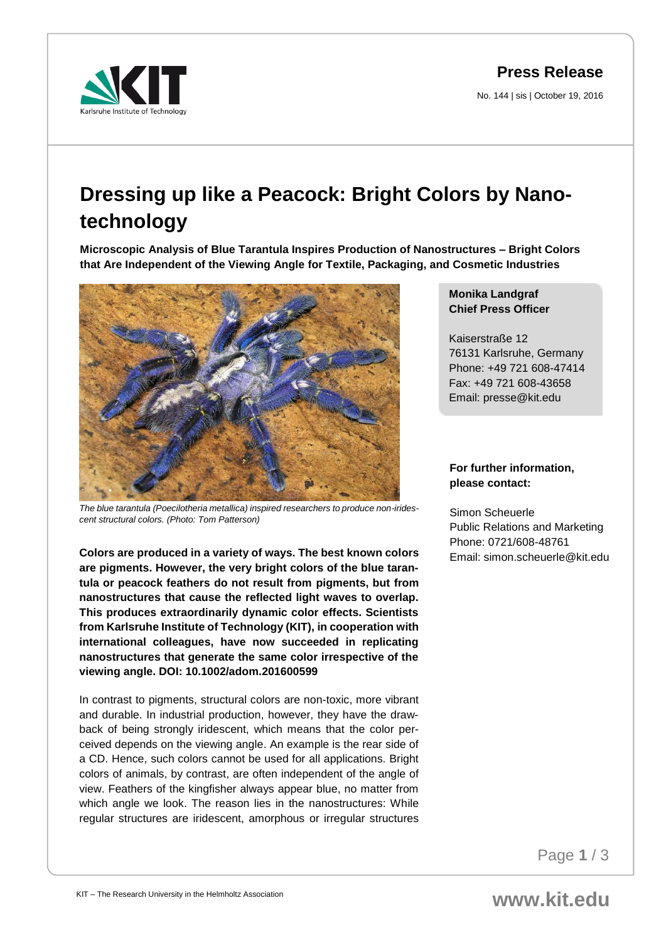**Press Release**

No. 144 | sis | October 19, 2016



## **Dressing up like a Peacock: Bright Colors by Nanotechnology**

**Microscopic Analysis of Blue Tarantula Inspires Production of Nanostructures – Bright Colors that Are Independent of the Viewing Angle for Textile, Packaging, and Cosmetic Industries** 



*The blue tarantula (Poecilotheria metallica) inspired researchers to produce non-iridescent structural colors. (Photo: Tom Patterson)*

**Colors are produced in a variety of ways. The best known colors are pigments. However, the very bright colors of the blue tarantula or peacock feathers do not result from pigments, but from nanostructures that cause the reflected light waves to overlap. This produces extraordinarily dynamic color effects. Scientists from Karlsruhe Institute of Technology (KIT), in cooperation with international colleagues, have now succeeded in replicating nanostructures that generate the same color irrespective of the viewing angle. DOI: 10.1002/adom.201600599**

In contrast to pigments, structural colors are non-toxic, more vibrant and durable. In industrial production, however, they have the drawback of being strongly iridescent, which means that the color perceived depends on the viewing angle. An example is the rear side of a CD. Hence, such colors cannot be used for all applications. Bright colors of animals, by contrast, are often independent of the angle of view. Feathers of the kingfisher always appear blue, no matter from which angle we look. The reason lies in the nanostructures: While regular structures are iridescent, amorphous or irregular structures **Monika Landgraf Chief Press Officer** 

Kaiserstraße 12 76131 Karlsruhe, Germany Phone: +49 721 608-47414 Fax: +49 721 608-43658 Email: presse@kit.edu

## **For further information, please contact:**

Simon Scheuerle Public Relations and Marketing Phone: 0721/608-48761 Email: simon.scheuerle@kit.edu

Page **1** / 3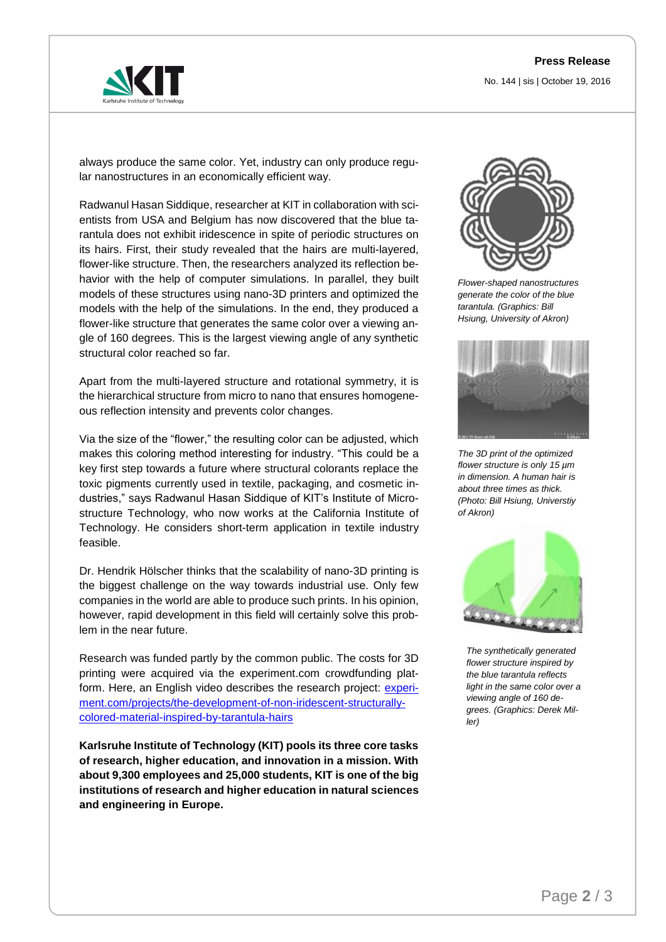## **Press Release**

No. 144 | sis | October 19, 2016



always produce the same color. Yet, industry can only produce regular nanostructures in an economically efficient way.

Radwanul Hasan Siddique, researcher at KIT in collaboration with scientists from USA and Belgium has now discovered that the blue tarantula does not exhibit iridescence in spite of periodic structures on its hairs. First, their study revealed that the hairs are multi-layered, flower-like structure. Then, the researchers analyzed its reflection behavior with the help of computer simulations. In parallel, they built models of these structures using nano-3D printers and optimized the models with the help of the simulations. In the end, they produced a flower-like structure that generates the same color over a viewing angle of 160 degrees. This is the largest viewing angle of any synthetic structural color reached so far.

Apart from the multi-layered structure and rotational symmetry, it is the hierarchical structure from micro to nano that ensures homogeneous reflection intensity and prevents color changes.

Via the size of the "flower," the resulting color can be adjusted, which makes this coloring method interesting for industry. "This could be a key first step towards a future where structural colorants replace the toxic pigments currently used in textile, packaging, and cosmetic industries," says Radwanul Hasan Siddique of KIT's Institute of Microstructure Technology, who now works at the California Institute of Technology. He considers short-term application in textile industry feasible.

Dr. Hendrik Hölscher thinks that the scalability of nano-3D printing is the biggest challenge on the way towards industrial use. Only few companies in the world are able to produce such prints. In his opinion, however, rapid development in this field will certainly solve this problem in the near future.

Research was funded partly by the common public. The costs for 3D printing were acquired via the experiment.com crowdfunding platform. Here, an English video describes the research project: experi[ment.com/projects/the-development-of-non-iridescent-structurally](https://experiment.com/projects/the-development-of-non-iridescent-structurally-colored-material-inspired-by-tarantula-hairs)[colored-material-inspired-by-tarantula-hairs](https://experiment.com/projects/the-development-of-non-iridescent-structurally-colored-material-inspired-by-tarantula-hairs)

**Karlsruhe Institute of Technology (KIT) pools its three core tasks of research, higher education, and innovation in a mission. With about 9,300 employees and 25,000 students, KIT is one of the big institutions of research and higher education in natural sciences and engineering in Europe.** 



*Flower-shaped nanostructures generate the color of the blue tarantula. (Graphics: Bill Hsiung, University of Akron)*



*The 3D print of the optimized flower structure is only 15 µm in dimension. A human hair is about three times as thick. (Photo: Bill Hsiung, Universtiy of Akron)* 



*The synthetically generated flower structure inspired by the blue tarantula reflects [light in the same color over a](https://experiment.com/projects/the-development-of-non-iridescent-structurally-colored-material-inspired-by-tarantula-hairs)  viewing angle of 160 degrees. (Graphics: Derek Miller)*